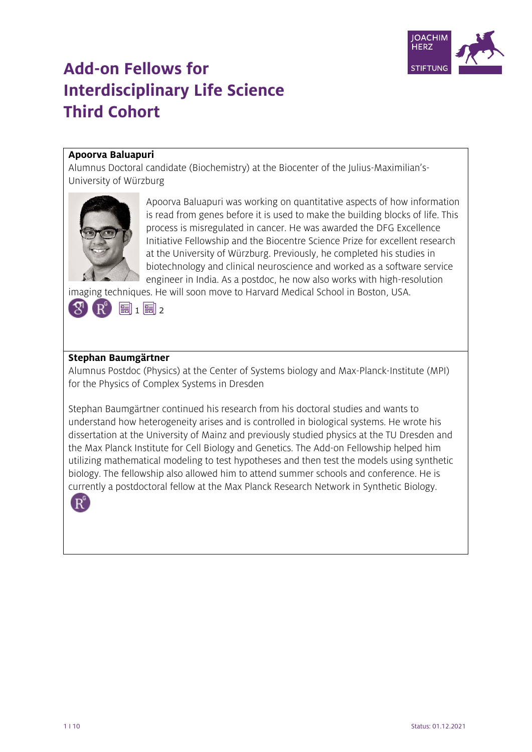

# **Add-on Fellows for Interdisciplinary Life Science Third Cohort**

# **Apoorva Baluapuri**

Alumnus Doctoral candidate (Biochemistry) at the Biocenter of the Julius-Maximilian's-University of Würzburg



Apoorva Baluapuri was working on quantitative aspects of how information is read from genes before it is used to make the building blocks of life. This process is misregulated in cancer. He was awarded the DFG Excellence Initiative Fellowship and the Biocentre Science Prize for excellent research at the University of Würzburg. Previously, he completed his studies in biotechnology and clinical neuroscience and worked as a software service engineer in India. As a postdoc, he now also works with high-resolution

imaging techniques. He will soon move to Harvard Medical School in Boston, USA.



#### **Stephan Baumgärtner**

Alumnus Postdoc (Physics) at the Center of Systems biology and Max-Planck-Institute (MPI) for the Physics of Complex Systems in Dresden

Stephan Baumgärtner continued his research from his doctoral studies and wants to understand how heterogeneity arises and is controlled in biological systems. He wrote his dissertation at the University of Mainz and previously studied physics at the TU Dresden and the Max Planck Institute for Cell Biology and Genetics. The Add-on Fellowship helped him utilizing mathematical modeling to test hypotheses and then test the models using synthetic biology. The fellowship also allowed him to attend summer schools and conference. He is currently a postdoctoral fellow at the Max Planck Research Network in Synthetic Biology.

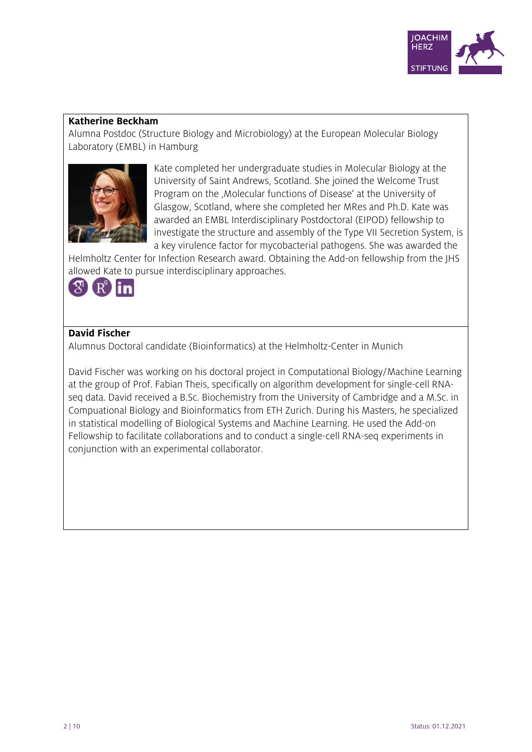

#### **Katherine Beckham**

Alumna Postdoc (Structure Biology and Microbiology) at the European Molecular Biology Laboratory (EMBL) in Hamburg



Kate completed her undergraduate studies in Molecular Biology at the University of Saint Andrews, Scotland. She joined the Welcome Trust Program on the , Molecular functions of Disease' at the University of Glasgow, Scotland, where she completed her MRes and Ph.D. Kate was awarded an EMBL Interdisciplinary Postdoctoral (EIPOD) fellowship to investigate the structure and assembly of the Type VII Secretion System, is a key virulence factor for mycobacterial pathogens. She was awarded the

Helmholtz Center for Infection Research award. Obtaining the Add-on fellowship from the JHS allowed Kate to pursue interdisciplinary approaches.



#### **David Fischer**

Alumnus Doctoral candidate (Bioinformatics) at the Helmholtz-Center in Munich

David Fischer was working on his doctoral project in Computational Biology/Machine Learning at the group of Prof. Fabian Theis, specifically on algorithm development for single-cell RNAseq data. David received a B.Sc. Biochemistry from the University of Cambridge and a M.Sc. in Compuational Biology and Bioinformatics from ETH Zurich. During his Masters, he specialized in statistical modelling of Biological Systems and Machine Learning. He used the Add-on Fellowship to facilitate collaborations and to conduct a single-cell RNA-seq experiments in conjunction with an experimental collaborator.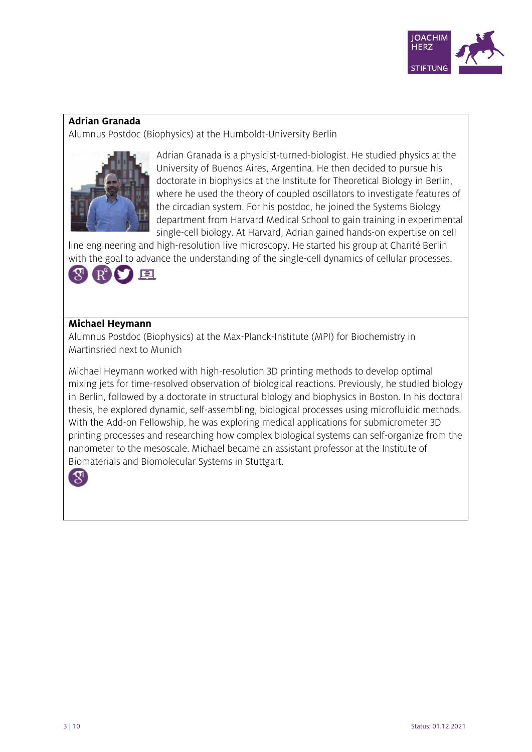

#### **Adrian Granada**

Alumnus Postdoc (Biophysics) at the Humboldt-University Berlin



Adrian Granada is a physicist-turned-biologist. He studied physics at the University of Buenos Aires, Argentina. He then decided to pursue his doctorate in biophysics at the Institute for Theoretical Biology in Berlin, where he used the theory of coupled oscillators to investigate features of the circadian system. For his postdoc, he joined the Systems Biology department from Harvard Medical School to gain training in experimental single-cell biology. At Harvard, Adrian gained hands-on expertise on cell

line engineering and high-resolution live microscopy. He started his group at Charité Berlin with the goal to advance the understanding of the single-cell dynamics of cellular processes.



#### **Michael Heymann**

Alumnus Postdoc (Biophysics) at the Max-Planck-Institute (MPI) for Biochemistry in Martinsried next to Munich

Michael Heymann worked with high-resolution 3D printing methods to develop optimal mixing jets for time-resolved observation of biological reactions. Previously, he studied biology in Berlin, followed by a doctorate in structural biology and biophysics in Boston. In his doctoral thesis, he explored dynamic, self-assembling, biological processes using microfluidic methods. With the Add-on Fellowship, he was exploring medical applications for submicrometer 3D printing processes and researching how complex biological systems can self-organize from the nanometer to the mesoscale. Michael became an assistant professor at the Institute of Biomaterials and Biomolecular Systems in Stuttgart.

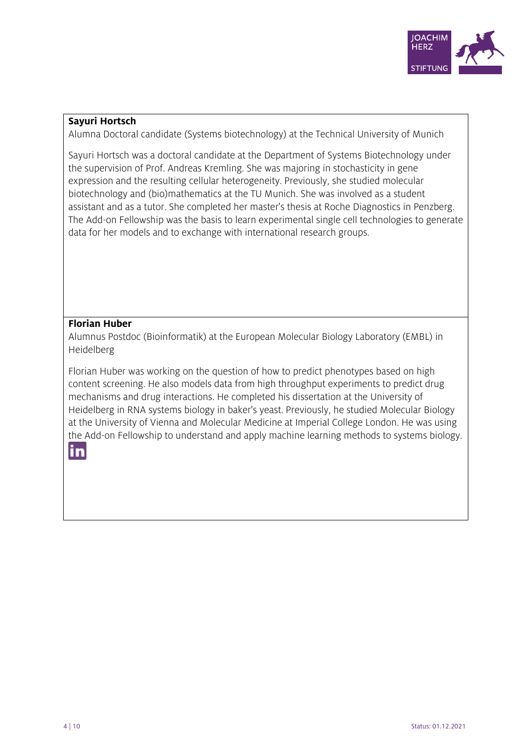

#### **Sayuri Hortsch**

Alumna Doctoral candidate (Systems biotechnology) at the Technical University of Munich

Sayuri Hortsch was a doctoral candidate at the Department of Systems Biotechnology under the supervision of Prof. Andreas Kremling. She was majoring in stochasticity in gene expression and the resulting cellular heterogeneity. Previously, she studied molecular biotechnology and (bio)mathematics at the TU Munich. She was involved as a student assistant and as a tutor. She completed her master's thesis at Roche Diagnostics in Penzberg. The Add-on Fellowship was the basis to learn experimental single cell technologies to generate data for her models and to exchange with international research groups.

#### **Florian Huber**

Alumnus Postdoc (Bioinformatik) at the European Molecular Biology Laboratory (EMBL) in Heidelberg

Florian Huber was working on the question of how to predict phenotypes based on high content screening. He also models data from high throughput experiments to predict drug mechanisms and drug interactions. He completed his dissertation at the University of Heidelberg in RNA systems biology in baker's yeast. Previously, he studied Molecular Biology at the University of Vienna and Molecular Medicine at Imperial College London. He was using the Add-on Fellowship to understand and apply machine learning methods to systems biology.

# in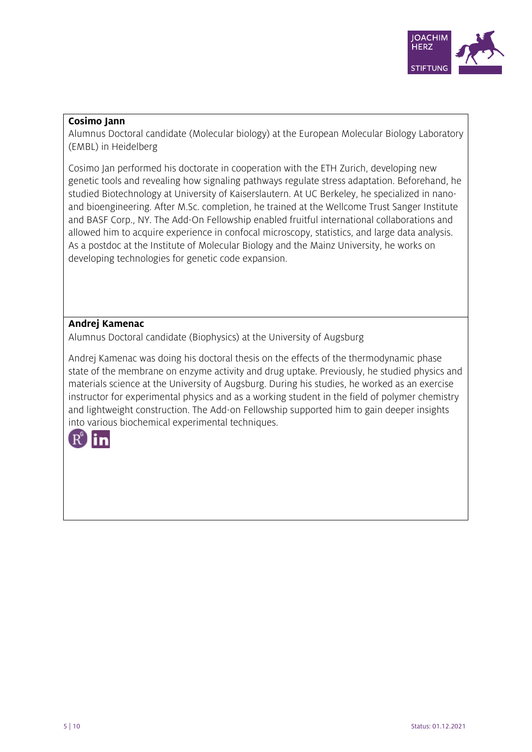

#### **Cosimo Jann**

Alumnus Doctoral candidate (Molecular biology) at the European Molecular Biology Laboratory (EMBL) in Heidelberg

Cosimo Jan performed his doctorate in cooperation with the ETH Zurich, developing new genetic tools and revealing how signaling pathways regulate stress adaptation. Beforehand, he studied Biotechnology at University of Kaiserslautern. At UC Berkeley, he specialized in nanoand bioengineering. After M.Sc. completion, he trained at the Wellcome Trust Sanger Institute and BASF Corp., NY. The Add-On Fellowship enabled fruitful international collaborations and allowed him to acquire experience in confocal microscopy, statistics, and large data analysis. As a postdoc at the Institute of Molecular Biology and the Mainz University, he works on developing technologies for genetic code expansion.

# **Andrej Kamenac**

Alumnus Doctoral candidate (Biophysics) at the University of Augsburg

Andrej Kamenac was doing his doctoral thesis on the effects of the thermodynamic phase state of the membrane on enzyme activity and drug uptake. Previously, he studied physics and materials science at the University of Augsburg. During his studies, he worked as an exercise instructor for experimental physics and as a working student in the field of polymer chemistry and lightweight construction. The Add-on Fellowship supported him to gain deeper insights into various biochemical experimental techniques.

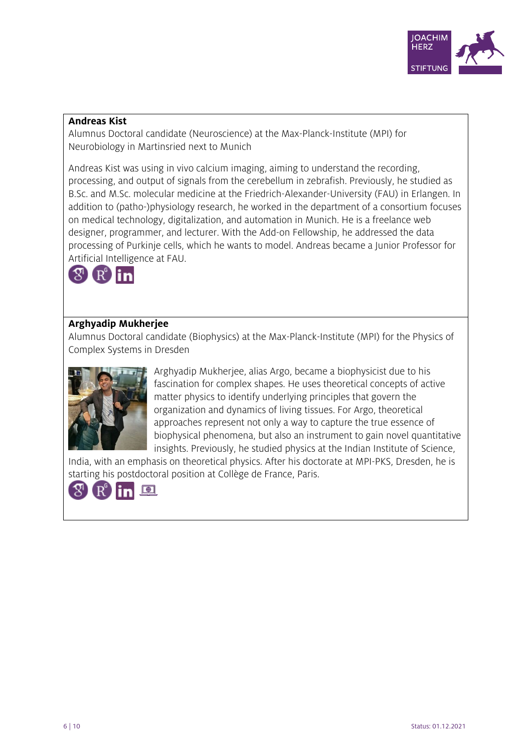

#### **Andreas Kist**

Alumnus Doctoral candidate (Neuroscience) at the Max-Planck-Institute (MPI) for Neurobiology in Martinsried next to Munich

Andreas Kist was using in vivo calcium imaging, aiming to understand the recording, processing, and output of signals from the cerebellum in zebrafish. Previously, he studied as B.Sc. and M.Sc. molecular medicine at the Friedrich-Alexander-University (FAU) in Erlangen. In addition to (patho-)physiology research, he worked in the department of a consortium focuses on medical technology, digitalization, and automation in Munich. He is a freelance web designer, programmer, and lecturer. With the Add-on Fellowship, he addressed the data processing of Purkinje cells, which he wants to model. Andreas became a Junior Professor for Artificial Intelligence at FAU.



# **Arghyadip Mukherjee**

Alumnus Doctoral candidate (Biophysics) at the Max-Planck-Institute (MPI) for the Physics of Complex Systems in Dresden



Arghyadip Mukherjee, alias Argo, became a biophysicist due to his fascination for complex shapes. He uses theoretical concepts of active matter physics to identify underlying principles that govern the organization and dynamics of living tissues. For Argo, theoretical approaches represent not only a way to capture the true essence of biophysical phenomena, but also an instrument to gain novel quantitative insights. Previously, he studied physics at the Indian Institute of Science,

India, with an emphasis on theoretical physics. After his doctorate at MPI-PKS, Dresden, he is starting his postdoctoral position at Collège de France, Paris.

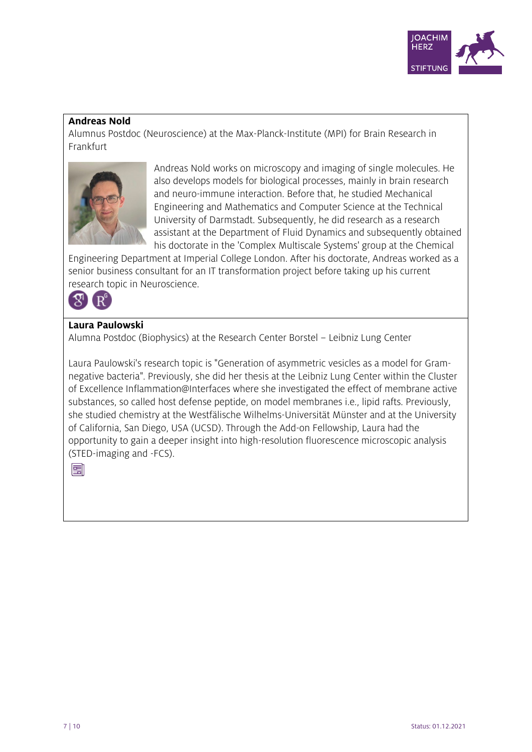

#### **Andreas Nold**

Alumnus Postdoc (Neuroscience) at the Max-Planck-Institute (MPI) for Brain Research in Frankfurt



Andreas Nold works on microscopy and imaging of single molecules. He also develops models for biological processes, mainly in brain research and neuro-immune interaction. Before that, he studied Mechanical Engineering and Mathematics and Computer Science at the Technical University of Darmstadt. Subsequently, he did research as a research assistant at the Department of Fluid Dynamics and subsequently obtained his doctorate in the 'Complex Multiscale Systems' group at the Chemical

Engineering Department at Imperial College London. After his doctorate, Andreas worked as a senior business consultant for an IT transformation project before taking up his current research topic in Neuroscience.



#### **Laura Paulowski**

Alumna Postdoc (Biophysics) at the Research Center Borstel – Leibniz Lung Center

Laura Paulowski's research topic is "Generation of asymmetric vesicles as a model for Gramnegative bacteria". Previously, she did her thesis at the Leibniz Lung Center within the Cluster of Excellence Inflammation@Interfaces where she investigated the effect of membrane active substances, so called host defense peptide, on model membranes i.e., lipid rafts. Previously, she studied chemistry at the Westfälische Wilhelms-Universität Münster and at the University of California, San Diego, USA (UCSD). Through the Add-on Fellowship, Laura had the opportunity to gain a deeper insight into high-resolution fluorescence microscopic analysis (STED-imaging and -FCS).

團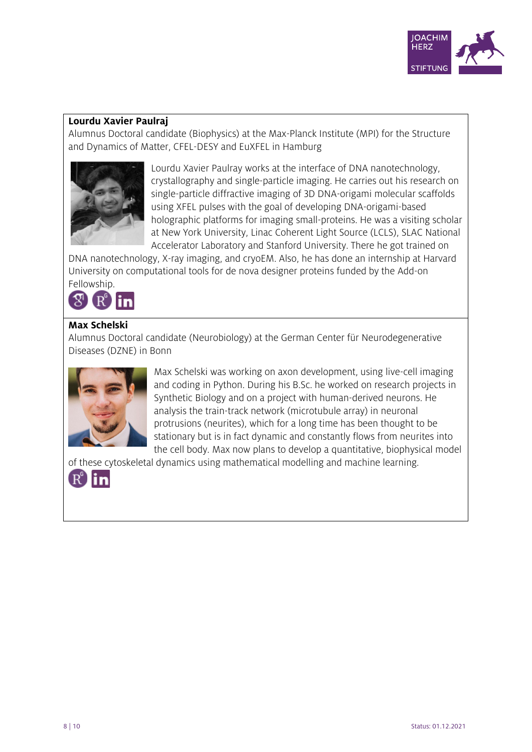

#### **Lourdu Xavier Paulraj**

Alumnus Doctoral candidate (Biophysics) at the Max-Planck Institute (MPI) for the Structure and Dynamics of Matter, CFEL-DESY and EuXFEL in Hamburg



Lourdu Xavier Paulray works at the interface of DNA nanotechnology, crystallography and single-particle imaging. He carries out his research on single-particle diffractive imaging of 3D DNA-origami molecular scaffolds using XFEL pulses with the goal of developing DNA-origami-based holographic platforms for imaging small-proteins. He was a visiting scholar at New York University, Linac Coherent Light Source (LCLS), SLAC National Accelerator Laboratory and Stanford University. There he got trained on

DNA nanotechnology, X-ray imaging, and cryoEM. Also, he has done an internship at Harvard University on computational tools for de nova designer proteins funded by the Add-on Fellowship.



# **Max Schelski**

Alumnus Doctoral candidate (Neurobiology) at the German Center für Neurodegenerative Diseases (DZNE) in Bonn



Max Schelski was working on axon development, using live-cell imaging and coding in Python. During his B.Sc. he worked on research projects in Synthetic Biology and on a project with human-derived neurons. He analysis the train-track network (microtubule array) in neuronal protrusions (neurites), which for a long time has been thought to be stationary but is in fact dynamic and constantly flows from neurites into the cell body. Max now plans to develop a quantitative, biophysical model

of these cytoskeletal dynamics using mathematical modelling and machine learning.

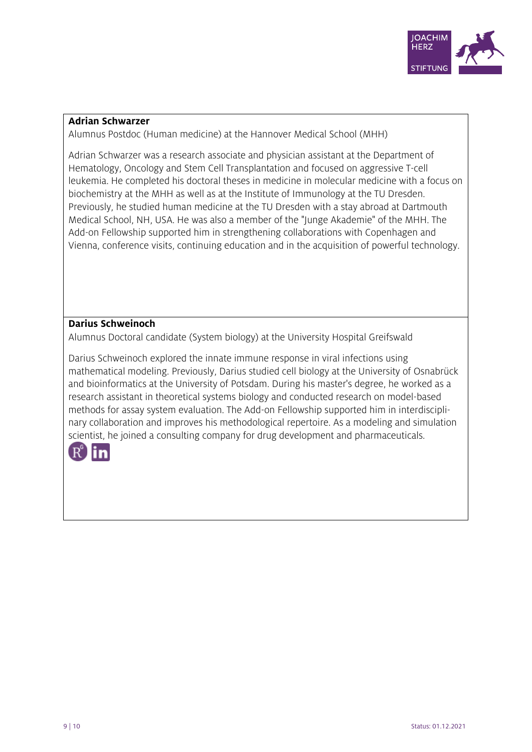

#### **Adrian Schwarzer**

Alumnus Postdoc (Human medicine) at the Hannover Medical School (MHH)

Adrian Schwarzer was a research associate and physician assistant at the Department of Hematology, Oncology and Stem Cell Transplantation and focused on aggressive T-cell leukemia. He completed his doctoral theses in medicine in molecular medicine with a focus on biochemistry at the MHH as well as at the Institute of Immunology at the TU Dresden. Previously, he studied human medicine at the TU Dresden with a stay abroad at Dartmouth Medical School, NH, USA. He was also a member of the "Junge Akademie" of the MHH. The Add-on Fellowship supported him in strengthening collaborations with Copenhagen and Vienna, conference visits, continuing education and in the acquisition of powerful technology.

#### **Darius Schweinoch**

Alumnus Doctoral candidate (System biology) at the University Hospital Greifswald

Darius Schweinoch explored the innate immune response in viral infections using mathematical modeling. Previously, Darius studied cell biology at the University of Osnabrück and bioinformatics at the University of Potsdam. During his master's degree, he worked as a research assistant in theoretical systems biology and conducted research on model-based methods for assay system evaluation. The Add-on Fellowship supported him in interdisciplinary collaboration and improves his methodological repertoire. As a modeling and simulation scientist, he joined a consulting company for drug development and pharmaceuticals.